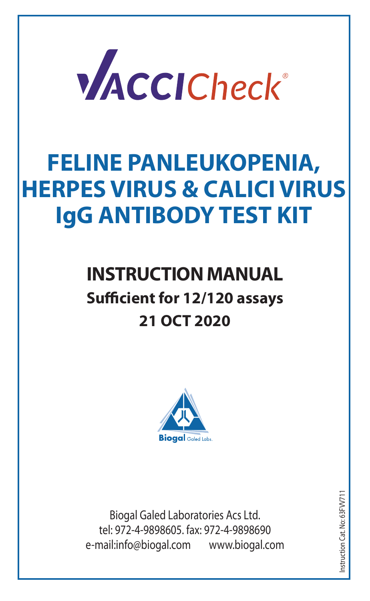

# **FELINE PANLEUKOPENIA, HERPES VIRUS & CALICI VIRUS IgG ANTIBODY TEST KIT**

# **INSTRUCTION MANUAL Sufficient for 12/120 assays 21 OCT 2020**



Biogal Galed Laboratories Acs Ltd. tel: 972-4-9898605. fax: 972-4-9898690 e-mail:info@biogal.com www.biogal.com

Instruction Cat. No: 63FVV711nstruction Cat. No: 63 FW71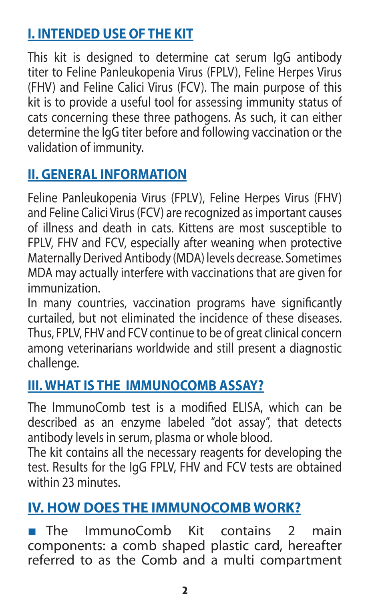# **I. INTENDED USE OF THE KIT**

This kit is designed to determine cat serum IgG antibody titer to Feline Panleukopenia Virus (FPLV), Feline Herpes Virus (FHV) and Feline Calici Virus (FCV). The main purpose of this kit is to provide a useful tool for assessing immunity status of cats concerning these three pathogens. As such, it can either determine the IgG titer before and following vaccination or the validation of immunity.

# **II. GENERAL INFORMATION**

Feline Panleukopenia Virus (FPLV), Feline Herpes Virus (FHV) and Feline Calici Virus (FCV) are recognized as important causes of illness and death in cats. Kittens are most susceptible to FPLV, FHV and FCV, especially after weaning when protective Maternally Derived Antibody (MDA) levels decrease. Sometimes MDA may actually interfere with vaccinations that are given for immunization.

In many countries, vaccination programs have significantly curtailed, but not eliminated the incidence of these diseases. Thus, FPLV, FHV and FCV continue to be of great clinical concern among veterinarians worldwide and still present a diagnostic challenge.

#### **III. WHAT IS THE IMMUNOCOMB ASSAY?**

The ImmunoComb test is a modified ELISA, which can be described as an enzyme labeled "dot assay", that detects antibody levels in serum, plasma or whole blood.

The kit contains all the necessary reagents for developing the test. Results for the IgG FPLV, FHV and FCV tests are obtained within 23 minutes.

#### **IV. HOW DOES THE IMMUNOCOMB WORK?**

The ImmunoComb Kit contains 2 main components: a comb shaped plastic card, hereafter referred to as the Comb and a multi compartment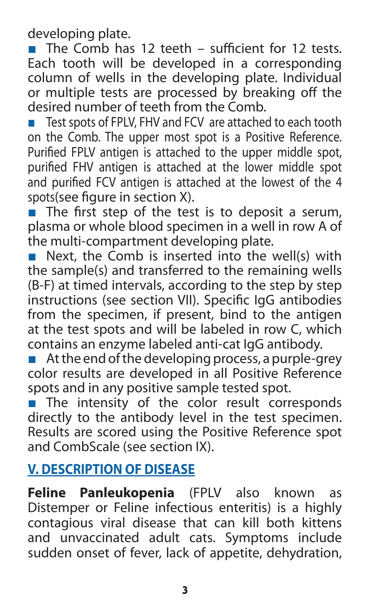developing plate.

■ The Comb has 12 teeth – sufficient for 12 tests. Each tooth will be developed in a corresponding column of wells in the developing plate. Individual or multiple tests are processed by breaking off the desired number of teeth from the Comb.

■ Test spots of FPLV, FHV and FCV are attached to each tooth on the Comb. The upper most spot is a Positive Reference. Purified FPLV antigen is attached to the upper middle spot, purified FHV antigen is attached at the lower middle spot and purified FCV antigen is attached at the lowest of the 4 spots(see figure in section X).

 $\overrightarrow{ }$  The first step of the test is to deposit a serum, plasma or whole blood specimen in a well in row A of the multi-compartment developing plate.

■ Next, the Comb is inserted into the well(s) with the sample(s) and transferred to the remaining wells (B-F) at timed intervals, according to the step by step instructions (see section VII). Specific IgG antibodies from the specimen, if present, bind to the antigen at the test spots and will be labeled in row C, which contains an enzyme labeled anti-cat IgG antibody.

 $\blacksquare$  At the end of the developing process, a purple-grey color results are developed in all Positive Reference spots and in any positive sample tested spot.

■ The intensity of the color result corresponds directly to the antibody level in the test specimen. Results are scored using the Positive Reference spot and CombScale (see section IX).

#### **V. DESCRIPTION OF DISEASE**

**Feline Panleukopenia** (FPLV also known as Distemper or Feline infectious enteritis) is a highly contagious viral disease that can kill both kittens and unvaccinated adult cats. Symptoms include sudden onset of fever, lack of appetite, dehydration,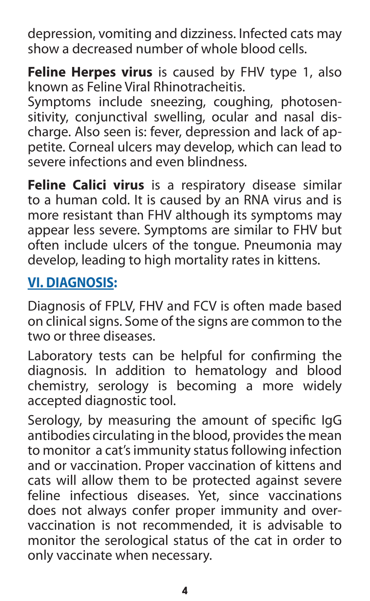depression, vomiting and dizziness. Infected cats may show a decreased number of whole blood cells.

**Feline Herpes virus** is caused by FHV type 1, also known as Feline Viral Rhinotracheitis.

Symptoms include sneezing, coughing, photosensitivity, conjunctival swelling, ocular and nasal discharge. Also seen is: fever, depression and lack of appetite. Corneal ulcers may develop, which can lead to severe infections and even blindness.

**Feline Calici virus** is a respiratory disease similar to a human cold. It is caused by an RNA virus and is more resistant than FHV although its symptoms may appear less severe. Symptoms are similar to FHV but often include ulcers of the tongue. Pneumonia may develop, leading to high mortality rates in kittens.

#### **VI. DIAGNOSIS:**

Diagnosis of FPLV, FHV and FCV is often made based on clinical signs. Some of the signs are common to the two or three diseases.

Laboratory tests can be helpful for confirming the diagnosis. In addition to hematology and blood chemistry, serology is becoming a more widely accepted diagnostic tool.

Serology, by measuring the amount of specific IgG antibodies circulating in the blood, provides the mean to monitor a cat's immunity status following infection and or vaccination. Proper vaccination of kittens and cats will allow them to be protected against severe feline infectious diseases. Yet, since vaccinations does not always confer proper immunity and overvaccination is not recommended, it is advisable to monitor the serological status of the cat in order to only vaccinate when necessary.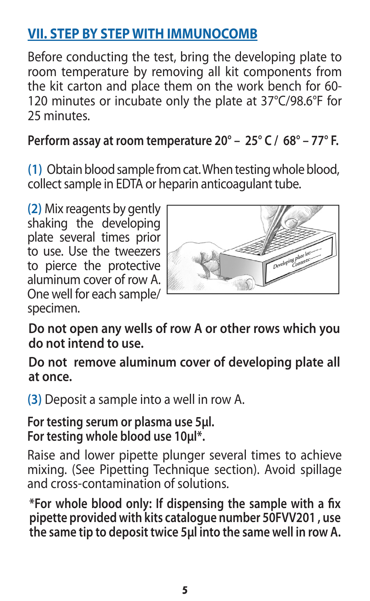# **VII. STEP BY STEP WITH IMMUNOCOMB**

Before conducting the test, bring the developing plate to room temperature by removing all kit components from the kit carton and place them on the work bench for 60- 120 minutes or incubate only the plate at 37°C/98.6°F for 25 minutes.

#### **Perform assay at room temperature 20° – 25° C / 68° – 77° F.**

**(1)** Obtain blood sample from cat. When testing whole blood, collect sample in EDTA or heparin anticoagulant tube.

**(2)** Mix reagents by gently shaking the developing plate several times prior to use. Use the tweezers to pierce the protective aluminum cover of row A. One well for each sample/ specimen.



**Do not open any wells of row A or other rows which you do not intend to use.**

**Do not remove aluminum cover of developing plate all at once.**

**(3)** Deposit a sample into a well in row A.

**For testing serum or plasma use 5μl. For testing whole blood use 10μl\*.** 

Raise and lower pipette plunger several times to achieve mixing. (See Pipetting Technique section). Avoid spillage and cross-contamination of solutions.

**\*For whole blood only: If dispensing the sample with a fix pipette provided with kits catalogue number 50FVV201 , use the same tip to deposit twice 5µl into the same well in row A.**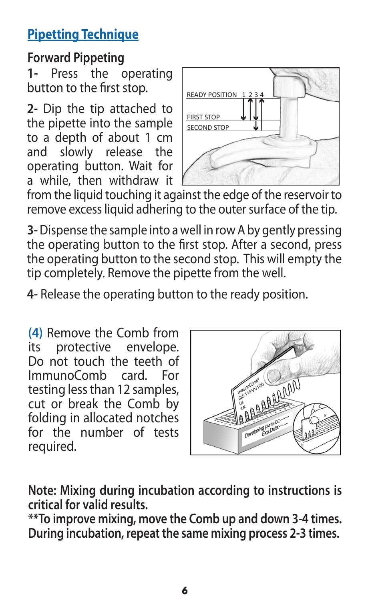# **Pipetting Technique**

## **Forward Pippeting**

**1-** Press the operating button to the first stop.

**2-** Dip the tip attached to the pipette into the sample to a depth of about 1 cm and slowly release the operating button. Wait for a while, then withdraw it



from the liquid touching it against the edge of the reservoir to remove excess liquid adhering to the outer surface of the tip.

**3-** Dispense the sample into a well in row A by gently pressing the operating button to the first stop. After a second, press the operating button to the second stop. This will empty the tip completely. Remove the pipette from the well.

**4-** Release the operating button to the ready position.

**(4)** Remove the Comb from its protective envelope. Do not touch the teeth of ImmunoComb card. For testing less than 12 samples, cut or break the Comb by folding in allocated notches for the number of tests required.



**Note: Mixing during incubation according to instructions is critical for valid results.**

**\*\*To improve mixing, move the Comb up and down 3-4 times. During incubation, repeat the same mixing process 2-3 times.**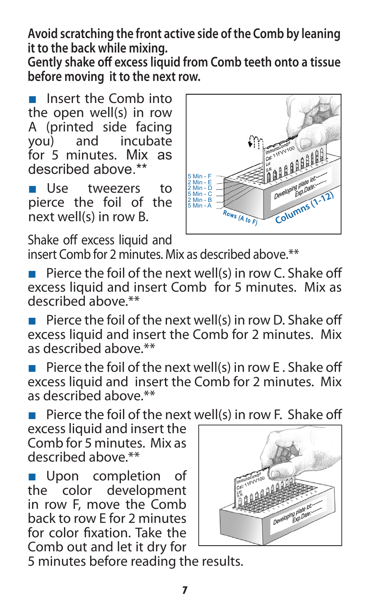**Avoid scratching the front active side of the Comb by leaning it to the back while mixing.**

**Gently shake off excess liquid from Comb teeth onto a tissue before moving it to the next row.**

■ Insert the Comb into the open well(s) in row A (printed side facing<br>vou) and incubate and incubate for 5 minutes. Mix as described above.\*\*

■ Use tweezers to pierce the foil of the next well(s) in row B.

Shake off excess liquid and



insert Comb for 2 minutes. Mix as described above.\*\*

- Pierce the foil of the next well(s) in row C. Shake off excess liquid and insert Comb for 5 minutes. Mix as described above.\*\*
- Pierce the foil of the next well(s) in row D. Shake off excess liquid and insert the Comb for 2 minutes. Mix as described above \*\*
- **Pierce the foil of the next well(s) in row E. Shake off** excess liquid and insert the Comb for 2 minutes. Mix as described above.\*\*

■ Pierce the foil of the next well(s) in row F. Shake off

excess liquid and insert the Comb for 5 minutes. Mix as described above.\*\*

■ Upon completion of the color development in row F, move the Comb back to row E for 2 minutes for color fixation. Take the Comb out and let it dry for



5 minutes before reading the results.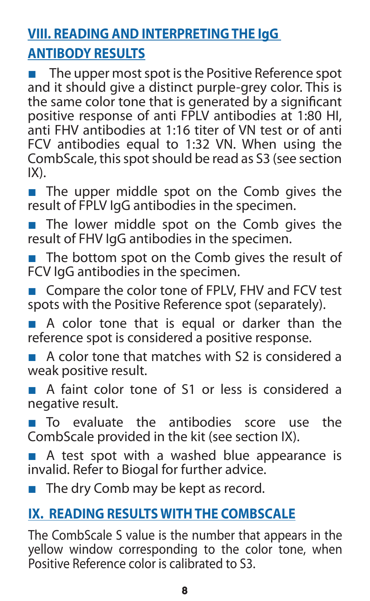# **VIII. READING AND INTERPRETING THE IgG ANTIBODY RESULTS**

The upper most spot is the Positive Reference spot and it should give a distinct purple-grey color. This is the same color tone that is generated by a significant positive response of anti FPLV antibodies at 1:80 HI. anti FHV antibodies at 1:16 titer of VN test or of anti FCV antibodies equal to 1:32 VN. When using the CombScale, this spot should be read as S3 (see section IX).

■ The upper middle spot on the Comb gives the result of FPLV IgG antibodies in the specimen.

■ The lower middle spot on the Comb gives the result of FHV IgG antibodies in the specimen.

■ The bottom spot on the Comb gives the result of FCV IgG antibodies in the specimen.

■ Compare the color tone of FPLV, FHV and FCV test spots with the Positive Reference spot (separately).

■ A color tone that is equal or darker than the reference spot is considered a positive response.

A color tone that matches with S2 is considered a weak positive result.

A faint color tone of S1 or less is considered a negative result.

■ To evaluate the antibodies score use the CombScale provided in the kit (see section IX).

■ A test spot with a washed blue appearance is invalid. Refer to Biogal for further advice.

■ The dry Comb may be kept as record.

#### **IX. READING RESULTS WITH THE COMBSCALE**

The CombScale S value is the number that appears in the yellow window corresponding to the color tone, when Positive Reference color is calibrated to S3.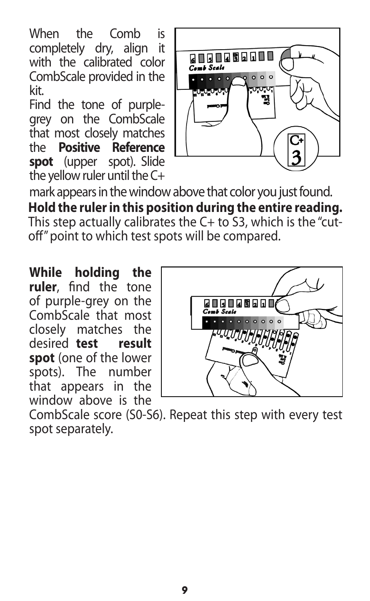When the Comb is<br>completely dry align it completely dry, align with the calibrated color CombScale provided in the kit.

Find the tone of purplegrey on the CombScale that most closely matches the **Positive Reference spot** (upper spot). Slide the yellow ruler until the C+



mark appears in the window above that color you just found. **Hold the ruler in this position during the entire reading.** This step actually calibrates the C+ to S3, which is the "cutoff" point to which test spots will be compared.

**While holding the ruler**, find the tone of purple-grey on the CombScale that most closely matches the desired **test result spot** (one of the lower<br>spots) The number spots). The that appears in the window above is the



CombScale score (S0-S6). Repeat this step with every test spot separately.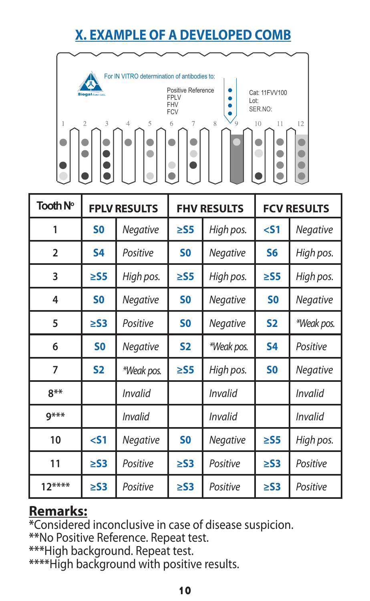# **X. EXAMPLE OF A DEVELOPED COMB**



| Tooth N°       | <b>FPLV RESULTS</b> |                | <b>FHV RESULTS</b> |                 | <b>FCV RESULTS</b> |            |
|----------------|---------------------|----------------|--------------------|-----------------|--------------------|------------|
| 1              | S <sub>0</sub>      | Negative       | $\geq$ S5          | High pos.       | $<$ 51             | Negative   |
| $\overline{2}$ | <b>S4</b>           | Positive       | S <sub>0</sub>     | Negative        | S6                 | High pos.  |
| 3              | $\geq$ S5           | High pos.      | $\geq$ S5          | High pos.       | $\geq$ S5          | High pos.  |
| 4              | S <sub>0</sub>      | Negative       | S <sub>0</sub>     | Negative        | S <sub>0</sub>     | Negative   |
| 5              | $\geq$ S3           | Positive       | S <sub>0</sub>     | Negative        | S <sub>2</sub>     | *Weak pos. |
| 6              | S <sub>0</sub>      | Negative       | <b>S2</b>          | *Weak pos.      | S4                 | Positive   |
| 7              | <b>S2</b>           | *Weak pos.     | $\geq$ S5          | High pos.       | S <sub>0</sub>     | Negative   |
| $8***$         |                     | Invalid        |                    | Invalid         |                    | Invalid    |
| $9***$         |                     | <b>Invalid</b> |                    | Invalid         |                    | Invalid    |
| 10             | $<$ 51              | Negative       | S <sub>0</sub>     | <b>Negative</b> | $\geq$ S5          | High pos.  |
| 11             | $\geq$ S3           | Positive       | $\geq$ S3          | Positive        | $\geq$ S3          | Positive   |
| $12***$        | $\geq$ S3           | Positive       | $\geq$ S3          | Positive        | $\geq$ S3          | Positive   |

#### **Remarks:**

**\***Considered inconclusive in case of disease suspicion.

**\*\***No Positive Reference. Repeat test.

**\*\*\***High background. Repeat test.

**\*\*\*\***High background with positive results.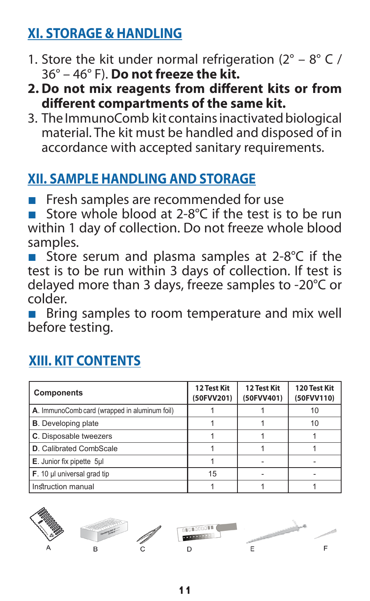# **XI. STORAGE & HANDLING**

- 1. Store the kit under normal refrigeration  $(2^{\circ} 8^{\circ} C)$ 36° – 46° F). **Do not freeze the kit.**
- **2. Do not mix reagents from different kits or from different compartments of the same kit.**
- 3. The ImmunoComb kit contains inactivated biological material. The kit must be handled and disposed of in accordance with accepted sanitary requirements.

# **XII. SAMPLE HANDLING AND STORAGE**

■ Fresh samples are recommended for use

■ Store whole blood at 2-8<sup>°</sup>C if the test is to be run within 1 day of collection. Do not freeze whole blood samples.

■ Store serum and plasma samples at 2-8°C if the test is to be run within 3 days of collection. If test is delayed more than 3 days, freeze samples to -20°C or colder.

■ Bring samples to room temperature and mix well before testing.

| <b>Components</b>                             | 12 Test Kit<br>(50FVV201) | 12 Test Kit<br>(50FVV401) | 120 Test Kit<br>(50FVV110) |
|-----------------------------------------------|---------------------------|---------------------------|----------------------------|
| A. ImmunoComb card (wrapped in aluminum foil) |                           |                           | 10                         |
| <b>B.</b> Developing plate                    |                           |                           | 10                         |
| C. Disposable tweezers                        |                           |                           |                            |
| D. Calibrated CombScale                       |                           |                           |                            |
| E. Junior fix pipette 5ul                     |                           |                           |                            |
| F. 10 µl universal grad tip                   | 15                        |                           |                            |
| Instruction manual                            |                           |                           |                            |

# **XIII. KIT CONTENTS**